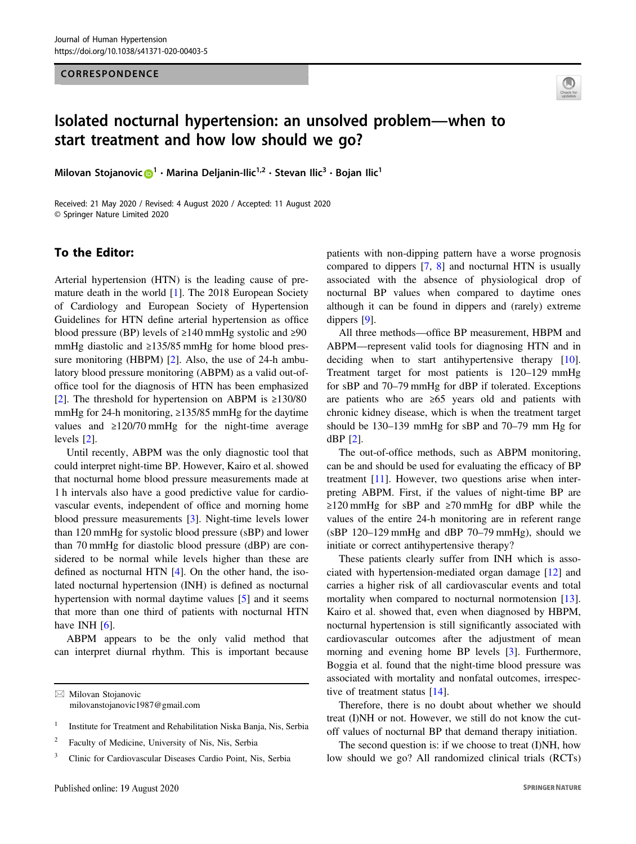#### CORRESPONDENCE



# Isolated nocturnal hypertension: an unsolved problem—when to start treatment and how low should we go?

Milovan Stojanovic  $\mathbf{D}^1 \cdot \mathbf{M}$  $\mathbf{D}^1 \cdot \mathbf{M}$  $\mathbf{D}^1 \cdot \mathbf{M}$ arina Deljanin-Ilic<sup>1,2</sup> · Stevan Ilic<sup>3</sup> · Bojan Ilic<sup>1</sup>

Received: 21 May 2020 / Revised: 4 August 2020 / Accepted: 11 August 2020 © Springer Nature Limited 2020

# To the Editor:

Arterial hypertension (HTN) is the leading cause of premature death in the world [\[1](#page-1-0)]. The 2018 European Society of Cardiology and European Society of Hypertension Guidelines for HTN define arterial hypertension as office blood pressure (BP) levels of  $\geq 140$  mmHg systolic and  $\geq 90$ mmHg diastolic and ≥135/85 mmHg for home blood pres-sure monitoring (HBPM) [[2\]](#page-1-0). Also, the use of 24-h ambulatory blood pressure monitoring (ABPM) as a valid out-ofoffice tool for the diagnosis of HTN has been emphasized [\[2](#page-1-0)]. The threshold for hypertension on ABPM is  $\geq$ 130/80 mmHg for 24-h monitoring, ≥135/85 mmHg for the daytime values and  $\geq$ 120/70 mmHg for the night-time average levels [[2\]](#page-1-0).

Until recently, ABPM was the only diagnostic tool that could interpret night-time BP. However, Kairo et al. showed that nocturnal home blood pressure measurements made at 1 h intervals also have a good predictive value for cardiovascular events, independent of office and morning home blood pressure measurements [[3\]](#page-1-0). Night-time levels lower than 120 mmHg for systolic blood pressure (sBP) and lower than 70 mmHg for diastolic blood pressure (dBP) are considered to be normal while levels higher than these are defined as nocturnal HTN [[4\]](#page-1-0). On the other hand, the isolated nocturnal hypertension (INH) is defined as nocturnal hypertension with normal daytime values [\[5](#page-1-0)] and it seems that more than one third of patients with nocturnal HTN have INH  $[6]$  $[6]$ .

ABPM appears to be the only valid method that can interpret diurnal rhythm. This is important because patients with non-dipping pattern have a worse prognosis compared to dippers [\[7](#page-1-0), [8\]](#page-1-0) and nocturnal HTN is usually associated with the absence of physiological drop of nocturnal BP values when compared to daytime ones although it can be found in dippers and (rarely) extreme dippers [[9\]](#page-1-0).

All three methods—office BP measurement, HBPM and ABPM—represent valid tools for diagnosing HTN and in deciding when to start antihypertensive therapy [[10\]](#page-1-0). Treatment target for most patients is 120–129 mmHg for sBP and 70–79 mmHg for dBP if tolerated. Exceptions are patients who are ≥65 years old and patients with chronic kidney disease, which is when the treatment target should be 130–139 mmHg for sBP and 70–79 mm Hg for dBP [[2\]](#page-1-0).

The out-of-office methods, such as ABPM monitoring, can be and should be used for evaluating the efficacy of BP treatment [[11\]](#page-1-0). However, two questions arise when interpreting ABPM. First, if the values of night-time BP are ≥120 mmHg for sBP and ≥70 mmHg for dBP while the values of the entire 24-h monitoring are in referent range (sBP 120–129 mmHg and dBP 70–79 mmHg), should we initiate or correct antihypertensive therapy?

These patients clearly suffer from INH which is associated with hypertension-mediated organ damage [[12\]](#page-1-0) and carries a higher risk of all cardiovascular events and total mortality when compared to nocturnal normotension [[13\]](#page-1-0). Kairo et al. showed that, even when diagnosed by HBPM, nocturnal hypertension is still significantly associated with cardiovascular outcomes after the adjustment of mean morning and evening home BP levels [[3\]](#page-1-0). Furthermore, Boggia et al. found that the night-time blood pressure was associated with mortality and nonfatal outcomes, irrespec-tive of treatment status [\[14](#page-1-0)].

Therefore, there is no doubt about whether we should treat (I)NH or not. However, we still do not know the cutoff values of nocturnal BP that demand therapy initiation.

The second question is: if we choose to treat (I)NH, how low should we go? All randomized clinical trials (RCTs)

 $\boxtimes$  Milovan Stojanovic [milovanstojanovic1987@gmail.com](mailto:milovanstojanovic1987@gmail.com)

<sup>&</sup>lt;sup>1</sup> Institute for Treatment and Rehabilitation Niska Banja, Nis, Serbia

<sup>2</sup> Faculty of Medicine, University of Nis, Nis, Serbia

<sup>&</sup>lt;sup>3</sup> Clinic for Cardiovascular Diseases Cardio Point, Nis, Serbia